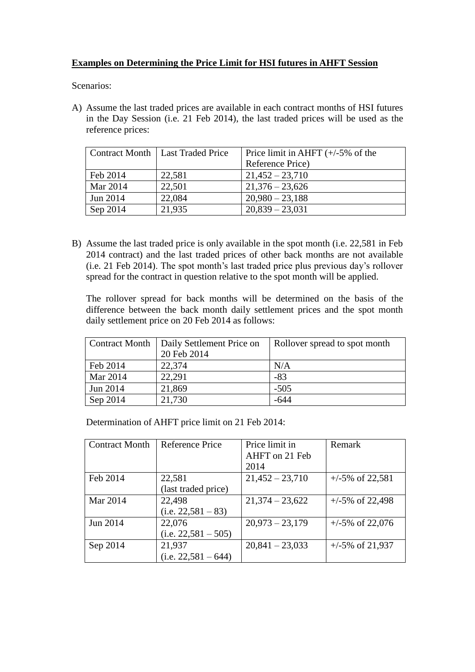## **Examples on Determining the Price Limit for HSI futures in AHFT Session**

Scenarios:

A) Assume the last traded prices are available in each contract months of HSI futures in the Day Session (i.e. 21 Feb 2014), the last traded prices will be used as the reference prices:

|          | Contract Month   Last Traded Price | Price limit in AHFT $(+/-5\%$ of the |  |
|----------|------------------------------------|--------------------------------------|--|
|          |                                    | Reference Price)                     |  |
| Feb 2014 | 22,581                             | $21,452 - 23,710$                    |  |
| Mar 2014 | 22,501                             | $21,376 - 23,626$                    |  |
| Jun 2014 | 22,084                             | $20,980 - 23,188$                    |  |
| Sep 2014 | 21,935                             | $20,839 - 23,031$                    |  |

B) Assume the last traded price is only available in the spot month (i.e. 22,581 in Feb 2014 contract) and the last traded prices of other back months are not available (i.e. 21 Feb 2014). The spot month's last traded price plus previous day's rollover spread for the contract in question relative to the spot month will be applied.

The rollover spread for back months will be determined on the basis of the difference between the back month daily settlement prices and the spot month daily settlement price on 20 Feb 2014 as follows:

| <b>Contract Month</b> | Daily Settlement Price on | Rollover spread to spot month |
|-----------------------|---------------------------|-------------------------------|
|                       | 20 Feb 2014               |                               |
| Feb 2014              | 22,374                    | N/A                           |
| Mar 2014              | 22,291                    | $-83$                         |
| Jun 2014              | 21,869                    | $-505$                        |
| Sep 2014              | 21,730                    | $-644$                        |

Determination of AHFT price limit on 21 Feb 2014:

| <b>Contract Month</b> | Reference Price       | Price limit in    | Remark             |
|-----------------------|-----------------------|-------------------|--------------------|
|                       |                       | AHFT on 21 Feb    |                    |
|                       |                       | 2014              |                    |
| Feb 2014              | 22,581                | $21,452 - 23,710$ | $+/-5\%$ of 22,581 |
|                       | (last traded price)   |                   |                    |
| Mar 2014              | 22,498                | $21,374 - 23,622$ | $+/-5\%$ of 22,498 |
|                       | $(i.e. 22,581 - 83)$  |                   |                    |
| Jun 2014              | 22,076                | $20,973 - 23,179$ | $+/-5\%$ of 22,076 |
|                       | $(i.e. 22,581 - 505)$ |                   |                    |
| Sep 2014              | 21,937                | $20,841 - 23,033$ | $+/-5\%$ of 21,937 |
|                       | $(i.e. 22,581 - 644)$ |                   |                    |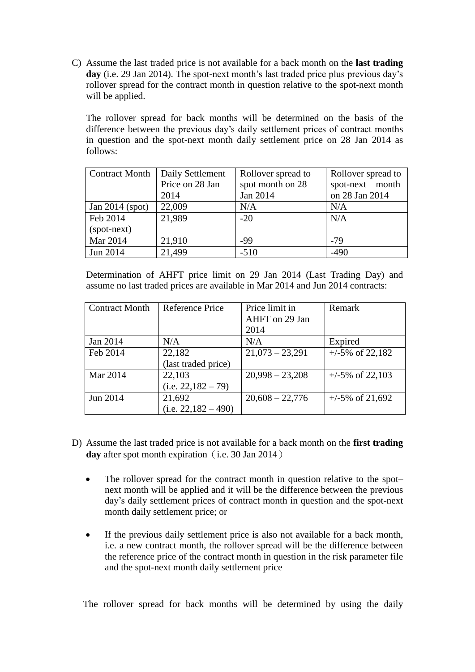C) Assume the last traded price is not available for a back month on the **last trading day** (i.e. 29 Jan 2014). The spot-next month's last traded price plus previous day's rollover spread for the contract month in question relative to the spot-next month will be applied.

The rollover spread for back months will be determined on the basis of the difference between the previous day's daily settlement prices of contract months in question and the spot-next month daily settlement price on 28 Jan 2014 as follows:

| <b>Contract Month</b> | Daily Settlement | Rollover spread to | Rollover spread to |
|-----------------------|------------------|--------------------|--------------------|
|                       | Price on 28 Jan  | spot month on 28   | spot-next month    |
|                       | 2014             | Jan 2014           | on 28 Jan 2014     |
| Jan $2014$ (spot)     | 22,009           | N/A                | N/A                |
| Feb 2014              | 21,989           | $-20$              | N/A                |
| (spot-next)           |                  |                    |                    |
| Mar 2014              | 21,910           | -99                | $-79$              |
| Jun 2014              | 21,499           | $-510$             | $-490$             |

Determination of AHFT price limit on 29 Jan 2014 (Last Trading Day) and assume no last traded prices are available in Mar 2014 and Jun 2014 contracts:

| <b>Contract Month</b> | Reference Price       | Price limit in    | Remark             |
|-----------------------|-----------------------|-------------------|--------------------|
|                       |                       | AHFT on 29 Jan    |                    |
|                       |                       | 2014              |                    |
| Jan 2014              | N/A                   | N/A               | Expired            |
| Feb 2014              | 22,182                | $21,073 - 23,291$ | $+/-5\%$ of 22,182 |
|                       | (last traded price)   |                   |                    |
| Mar 2014              | 22,103                | $20,998 - 23,208$ | $+/-5\%$ of 22,103 |
|                       | $(i.e. 22,182 - 79)$  |                   |                    |
| Jun 2014              | 21,692                | $20,608 - 22,776$ | $+/-5\%$ of 21,692 |
|                       | $(i.e. 22,182 - 490)$ |                   |                    |

- D) Assume the last traded price is not available for a back month on the **first trading day** after spot month expiration (i.e. 30 Jan 2014)
	- The rollover spread for the contract month in question relative to the spot– next month will be applied and it will be the difference between the previous day's daily settlement prices of contract month in question and the spot-next month daily settlement price; or
	- If the previous daily settlement price is also not available for a back month, i.e. a new contract month, the rollover spread will be the difference between the reference price of the contract month in question in the risk parameter file and the spot-next month daily settlement price

The rollover spread for back months will be determined by using the daily